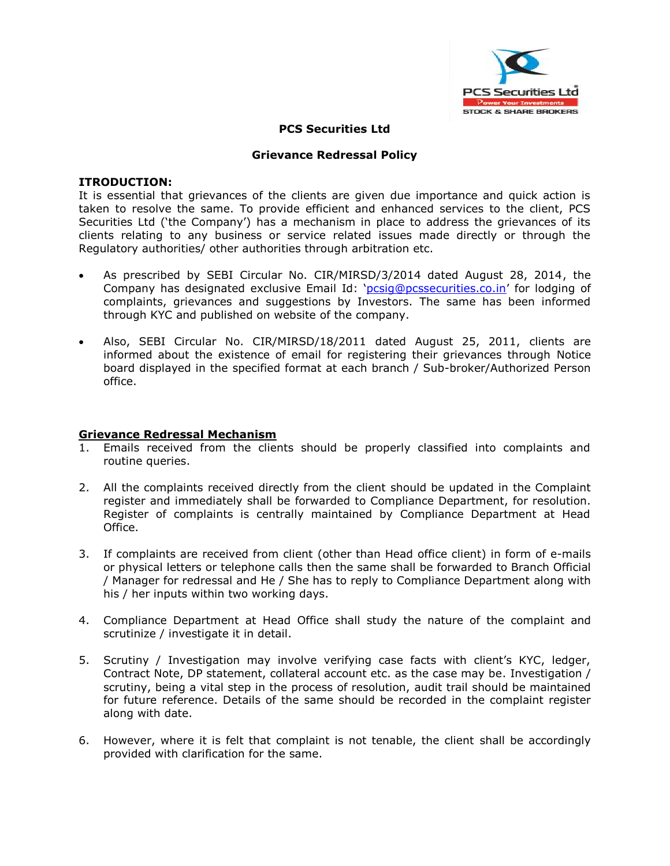

## **PCS Securities Ltd**

### **Grievance Redressal Policy**

#### **ITRODUCTION:**

It is essential that grievances of the clients are given due importance and quick action is taken to resolve the same. To provide efficient and enhanced services to the client, PCS Securities Ltd ('the Company') has a mechanism in place to address the grievances of its clients relating to any business or service related issues made directly or through the Regulatory authorities/ other authorities through arbitration etc.

- As prescribed by SEBI Circular No. CIR/MIRSD/3/2014 dated August 28, 2014, the Company has designated exclusive Email Id: '[pcsig@pcssecurities.co.in](mailto:pcsig@pcssecurities.co.in)' for lodging of complaints, grievances and suggestions by Investors. The same has been informed through KYC and published on website of the company.
- Also, SEBI Circular No. CIR/MIRSD/18/2011 dated August 25, 2011, clients are informed about the existence of email for registering their grievances through Notice board displayed in the specified format at each branch / Sub-broker/Authorized Person office.

## **Grievance Redressal Mechanism**

- 1. Emails received from the clients should be properly classified into complaints and routine queries.
- 2. All the complaints received directly from the client should be updated in the Complaint register and immediately shall be forwarded to Compliance Department, for resolution. Register of complaints is centrally maintained by Compliance Department at Head Office.
- 3. If complaints are received from client (other than Head office client) in form of e-mails or physical letters or telephone calls then the same shall be forwarded to Branch Official / Manager for redressal and He / She has to reply to Compliance Department along with his / her inputs within two working days.
- 4. Compliance Department at Head Office shall study the nature of the complaint and scrutinize / investigate it in detail.
- 5. Scrutiny / Investigation may involve verifying case facts with client's KYC, ledger, Contract Note, DP statement, collateral account etc. as the case may be. Investigation / scrutiny, being a vital step in the process of resolution, audit trail should be maintained for future reference. Details of the same should be recorded in the complaint register along with date.
- 6. However, where it is felt that complaint is not tenable, the client shall be accordingly provided with clarification for the same.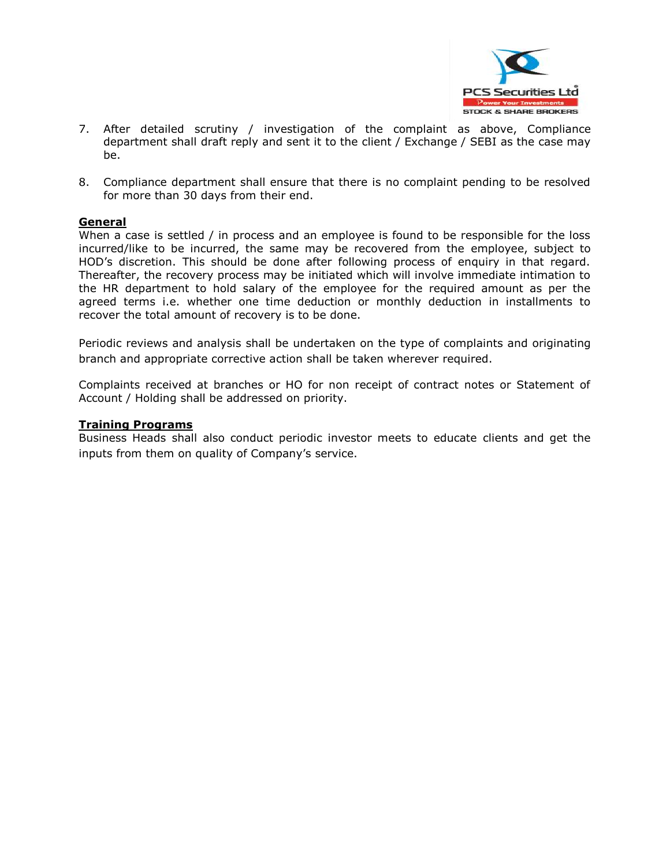

- 7. After detailed scrutiny / investigation of the complaint as above, Compliance department shall draft reply and sent it to the client / Exchange / SEBI as the case may be.
- 8. Compliance department shall ensure that there is no complaint pending to be resolved for more than 30 days from their end.

## **General**

When a case is settled / in process and an employee is found to be responsible for the loss incurred/like to be incurred, the same may be recovered from the employee, subject to HOD's discretion. This should be done after following process of enquiry in that regard. Thereafter, the recovery process may be initiated which will involve immediate intimation to the HR department to hold salary of the employee for the required amount as per the agreed terms i.e. whether one time deduction or monthly deduction in installments to recover the total amount of recovery is to be done.

Periodic reviews and analysis shall be undertaken on the type of complaints and originating branch and appropriate corrective action shall be taken wherever required.

Complaints received at branches or HO for non receipt of contract notes or Statement of Account / Holding shall be addressed on priority.

#### **Training Programs**

Business Heads shall also conduct periodic investor meets to educate clients and get the inputs from them on quality of Company's service.